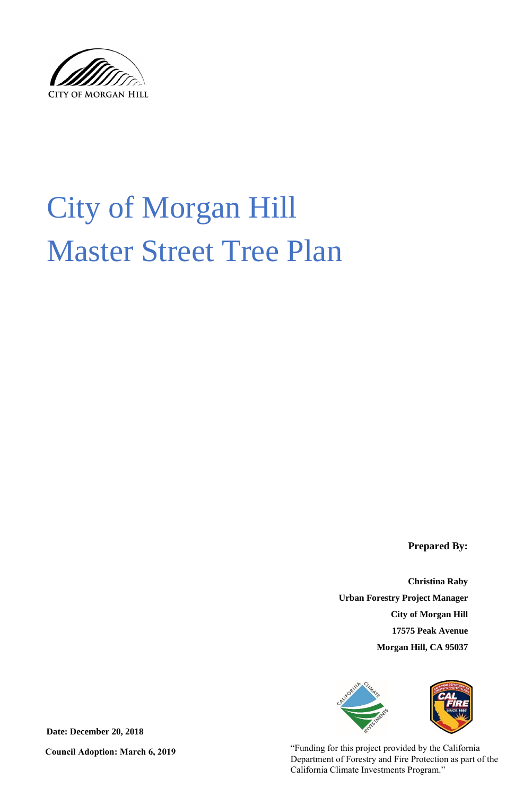

# City of Morgan Hill Master Street Tree Plan

**Prepared By:**

**Christina Raby** 

**Urban Forestry Project Manager**

**City of Morgan Hill**

**17575 Peak Avenue**

**Morgan Hill, CA 95037**



**Date: December 20, 2018**

"Funding for this project provided by the California Department of Forestry and Fire Protection as part of the California Climate Investments Program."

**Council Adoption: March 6, 2019**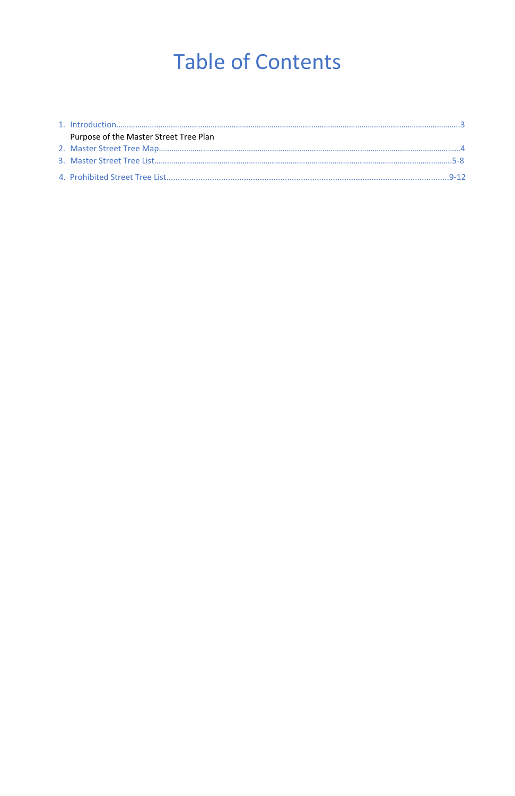## Table of Contents

| Purpose of the Master Street Tree Plan |  |
|----------------------------------------|--|
|                                        |  |
|                                        |  |
|                                        |  |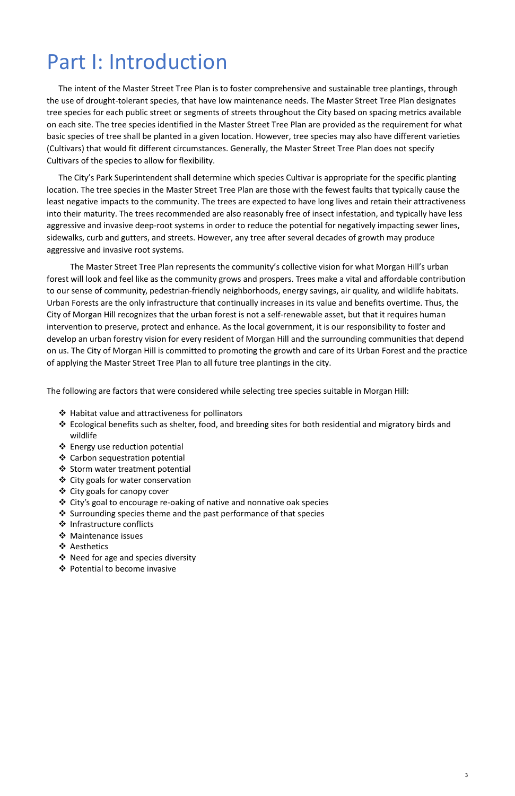## Part I: Introduction

The intent of the Master Street Tree Plan is to foster comprehensive and sustainable tree plantings, through the use of drought-tolerant species, that have low maintenance needs. The Master Street Tree Plan designates tree species for each public street or segments of streets throughout the City based on spacing metrics available on each site. The tree species identified in the Master Street Tree Plan are provided as the requirement for what basic species of tree shall be planted in a given location. However, tree species may also have different varieties (Cultivars) that would fit different circumstances. Generally, the Master Street Tree Plan does not specify Cultivars of the species to allow for flexibility.

The City's Park Superintendent shall determine which species Cultivar is appropriate for the specific planting location. The tree species in the Master Street Tree Plan are those with the fewest faults that typically cause the least negative impacts to the community. The trees are expected to have long lives and retain their attractiveness into their maturity. The trees recommended are also reasonably free of insect infestation, and typically have less aggressive and invasive deep-root systems in order to reduce the potential for negatively impacting sewer lines, sidewalks, curb and gutters, and streets. However, any tree after several decades of growth may produce aggressive and invasive root systems.

- $\triangleq$  Habitat value and attractiveness for pollinators
- Ecological benefits such as shelter, food, and breeding sites for both residential and migratory birds and wildlife
- Energy use reduction potential
- Carbon sequestration potential
- ❖ Storm water treatment potential
- City goals for water conservation
- ❖ City goals for canopy cover
- City's goal to encourage re-oaking of native and nonnative oak species
- Surrounding species theme and the past performance of that species
- ❖ Infrastructure conflicts
- ❖ Maintenance issues
- ❖ Aesthetics
- $\triangleleft$  Need for age and species diversity
- Potential to become invasive

The Master Street Tree Plan represents the community's collective vision for what Morgan Hill's urban forest will look and feel like as the community grows and prospers. Trees make a vital and affordable contribution to our sense of community, pedestrian-friendly neighborhoods, energy savings, air quality, and wildlife habitats. Urban Forests are the only infrastructure that continually increases in its value and benefits overtime. Thus, the City of Morgan Hill recognizes that the urban forest is not a self-renewable asset, but that it requires human intervention to preserve, protect and enhance. As the local government, it is our responsibility to foster and develop an urban forestry vision for every resident of Morgan Hill and the surrounding communities that depend on us. The City of Morgan Hill is committed to promoting the growth and care of its Urban Forest and the practice of applying the Master Street Tree Plan to all future tree plantings in the city.

The following are factors that were considered while selecting tree species suitable in Morgan Hill:

3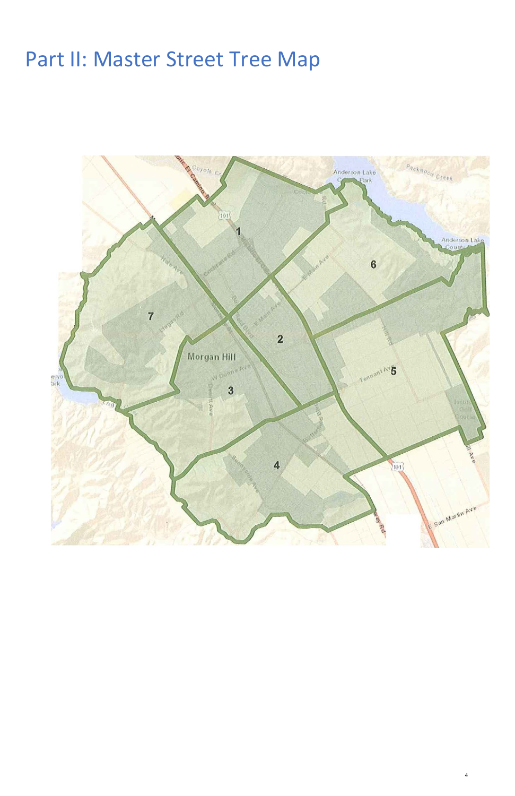#### Part II: Master Street Tree Map



4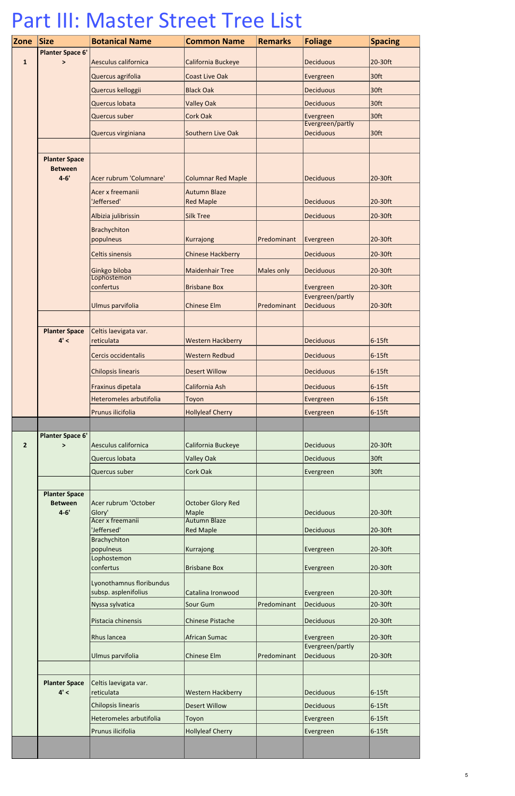| Zone           | <b>Size</b>                       | <b>Botanical Name</b>                               | <b>Common Name</b>                      | <b>Remarks</b>    | <b>Foliage</b>                       | <b>Spacing</b> |
|----------------|-----------------------------------|-----------------------------------------------------|-----------------------------------------|-------------------|--------------------------------------|----------------|
|                | <b>Planter Space 6'</b>           |                                                     |                                         |                   |                                      |                |
| $\mathbf{1}$   | $\geq$                            | Aesculus californica                                | California Buckeye                      |                   | <b>Deciduous</b>                     | 20-30ft        |
|                |                                   | Quercus agrifolia                                   | <b>Coast Live Oak</b>                   |                   | Evergreen                            | 30ft           |
|                |                                   | Quercus kelloggii                                   | <b>Black Oak</b>                        |                   | <b>Deciduous</b>                     | 30ft           |
|                |                                   | Quercus Iobata                                      | <b>Valley Oak</b>                       |                   | <b>Deciduous</b>                     | 30ft           |
|                |                                   | <b>Quercus suber</b>                                | Cork Oak                                |                   | Evergreen                            | 30ft           |
|                |                                   | Quercus virginiana                                  | Southern Live Oak                       |                   | Evergreen/partly<br><b>Deciduous</b> | 30ft           |
|                |                                   |                                                     |                                         |                   |                                      |                |
|                | <b>Planter Space</b>              |                                                     |                                         |                   |                                      |                |
|                | <b>Between</b>                    |                                                     |                                         |                   |                                      |                |
|                | $4 - 6'$                          | Acer rubrum 'Columnare'                             | <b>Columnar Red Maple</b>               |                   | <b>Deciduous</b>                     | 20-30ft        |
|                |                                   | Acer x freemanii<br>'Jeffersed'                     | <b>Autumn Blaze</b><br><b>Red Maple</b> |                   | <b>Deciduous</b>                     | 20-30ft        |
|                |                                   | Albizia julibrissin                                 | <b>Silk Tree</b>                        |                   | <b>Deciduous</b>                     | 20-30ft        |
|                |                                   | <b>Brachychiton</b>                                 |                                         |                   |                                      |                |
|                |                                   | populneus                                           | Kurrajong                               | Predominant       | Evergreen                            | 20-30ft        |
|                |                                   | <b>Celtis sinensis</b>                              | <b>Chinese Hackberry</b>                |                   | <b>Deciduous</b>                     | 20-30ft        |
|                |                                   | Ginkgo biloba                                       | <b>Maidenhair Tree</b>                  | <b>Males only</b> | <b>Deciduous</b>                     | 20-30ft        |
|                |                                   | Lophostemon<br>confertus                            | <b>Brisbane Box</b>                     |                   | Evergreen                            | 20-30ft        |
|                |                                   |                                                     |                                         |                   | Evergreen/partly                     |                |
|                |                                   | Ulmus parvifolia                                    | <b>Chinese Elm</b>                      | Predominant       | <b>Deciduous</b>                     | 20-30ft        |
|                |                                   |                                                     |                                         |                   |                                      |                |
|                | 4' <                              | Planter Space   Celtis laevigata var.<br>reticulata | <b>Western Hackberry</b>                |                   | <b>Deciduous</b>                     | $6-15$ ft      |
|                |                                   | Cercis occidentalis                                 | <b>Western Redbud</b>                   |                   | <b>Deciduous</b>                     | $6-15$ ft      |
|                |                                   |                                                     |                                         |                   |                                      |                |
|                |                                   | <b>Chilopsis linearis</b>                           | <b>Desert Willow</b>                    |                   | <b>Deciduous</b>                     | $6-15$ ft      |
|                |                                   | Fraxinus dipetala                                   | California Ash                          |                   | <b>Deciduous</b>                     | $6-15$ ft      |
|                |                                   | Heteromeles arbutifolia                             | Toyon                                   |                   | Evergreen                            | $6-15$ ft      |
|                |                                   | Prunus ilicifolia                                   | <b>Hollyleaf Cherry</b>                 |                   | Evergreen                            | $6-15$ ft      |
|                |                                   |                                                     |                                         |                   |                                      |                |
| $\overline{2}$ | <b>Planter Space 6'</b><br>$\geq$ | Aesculus californica                                | California Buckeye                      |                   | <b>Deciduous</b>                     | 20-30ft        |
|                |                                   | Quercus Iobata                                      | <b>Valley Oak</b>                       |                   | <b>Deciduous</b>                     | 30ft           |
|                |                                   | Quercus suber                                       | Cork Oak                                |                   | Evergreen                            | 30ft           |
|                |                                   |                                                     |                                         |                   |                                      |                |
|                | <b>Planter Space</b>              |                                                     |                                         |                   |                                      |                |
|                | <b>Between</b><br>$4 - 6'$        | Acer rubrum 'October                                | <b>October Glory Red</b>                |                   |                                      |                |
|                |                                   | Glory'<br>Acer x freemanii                          | Maple<br><b>Autumn Blaze</b>            |                   | <b>Deciduous</b>                     | 20-30ft        |
|                |                                   | 'Jeffersed'                                         | <b>Red Maple</b>                        |                   | <b>Deciduous</b>                     | 20-30ft        |
|                |                                   | <b>Brachychiton</b><br>populneus                    | Kurrajong                               |                   | Evergreen                            | 20-30ft        |
|                |                                   | Lophostemon                                         |                                         |                   |                                      |                |
|                |                                   | confertus                                           | <b>Brisbane Box</b>                     |                   | Evergreen                            | 20-30ft        |
|                |                                   | Lyonothamnus floribundus<br>subsp. asplenifolius    | Catalina Ironwood                       |                   | Evergreen                            | 20-30ft        |
|                |                                   | Nyssa sylvatica                                     | Sour Gum                                | Predominant       | <b>Deciduous</b>                     | 20-30ft        |
|                |                                   | Pistacia chinensis                                  | <b>Chinese Pistache</b>                 |                   | Deciduous                            | 20-30ft        |
|                |                                   | Rhus lancea                                         | <b>African Sumac</b>                    |                   | Evergreen                            | 20-30ft        |
|                |                                   |                                                     |                                         |                   | Evergreen/partly                     |                |
|                |                                   | Ulmus parvifolia                                    | <b>Chinese Elm</b>                      | Predominant       | <b>Deciduous</b>                     | 20-30ft        |
|                | <b>Planter Space</b>              | Celtis laevigata var.                               |                                         |                   |                                      |                |
|                | 4' <                              | reticulata                                          | <b>Western Hackberry</b>                |                   | <b>Deciduous</b>                     | $6-15$ ft      |
|                |                                   | <b>Chilopsis linearis</b>                           | <b>Desert Willow</b>                    |                   | <b>Deciduous</b>                     | $6-15$ ft      |
|                |                                   | Heteromeles arbutifolia                             | Toyon                                   |                   | Evergreen                            | $6-15$ ft      |
|                |                                   | Prunus ilicifolia                                   | <b>Hollyleaf Cherry</b>                 |                   | Evergreen                            | $6-15$ ft      |
|                |                                   |                                                     |                                         |                   |                                      |                |

### Part III: Master Street Tree List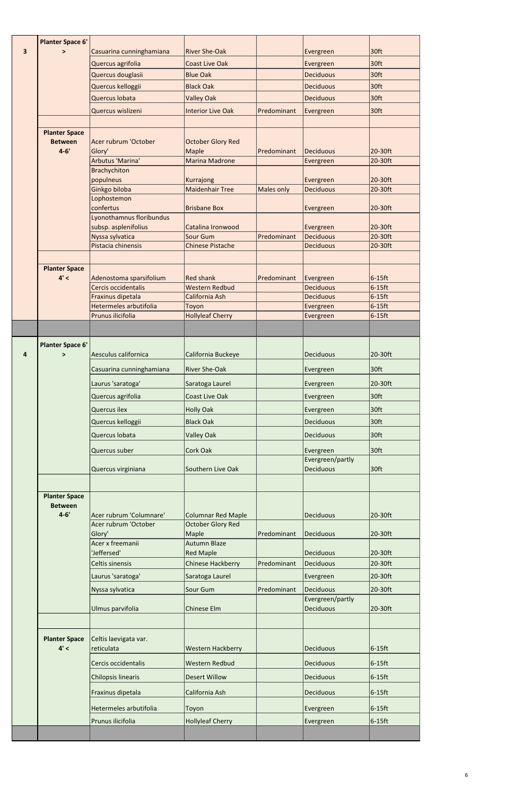| 3 | <b>Planter Space 6'</b><br>⋗           | Casuarina cunninghamiana                           | <b>River She-Oak</b>                     |                   |                               | 30 <sup>ft</sup>       |
|---|----------------------------------------|----------------------------------------------------|------------------------------------------|-------------------|-------------------------------|------------------------|
|   |                                        |                                                    |                                          |                   | Evergreen                     | 30 <sub>ft</sub>       |
|   |                                        | Quercus agrifolia                                  | <b>Coast Live Oak</b><br><b>Blue Oak</b> |                   | Evergreen<br><b>Deciduous</b> | 30ft                   |
|   |                                        | Quercus douglasii                                  | <b>Black Oak</b>                         |                   | <b>Deciduous</b>              | 30ft                   |
|   |                                        | Quercus kelloggii                                  |                                          |                   |                               | 30ft                   |
|   |                                        | Quercus Iobata                                     | <b>Valley Oak</b>                        |                   | <b>Deciduous</b>              |                        |
|   |                                        | Quercus wislizeni                                  | <b>Interior Live Oak</b>                 | Predominant       | Evergreen                     | 30ft                   |
|   | <b>Planter Space</b>                   |                                                    |                                          |                   |                               |                        |
|   | <b>Between</b>                         | Acer rubrum 'October                               | <b>October Glory Red</b>                 |                   |                               |                        |
|   | $4 - 6'$                               | Glory'                                             | <b>Maple</b>                             | Predominant       | <b>Deciduous</b>              | 20-30ft                |
|   |                                        | Arbutus 'Marina'                                   | <b>Marina Madrone</b>                    |                   | Evergreen                     | 20-30ft                |
|   |                                        | Brachychiton                                       |                                          |                   |                               |                        |
|   |                                        | populneus<br>Ginkgo biloba                         | Kurrajong<br><b>Maidenhair Tree</b>      | <b>Males only</b> | Evergreen<br><b>Deciduous</b> | 20-30ft<br>20-30ft     |
|   |                                        | Lophostemon                                        |                                          |                   |                               |                        |
|   |                                        | confertus                                          | <b>Brisbane Box</b>                      |                   | Evergreen                     | 20-30ft                |
|   |                                        | Lyonothamnus floribundus                           |                                          |                   |                               |                        |
|   |                                        | subsp. asplenifolius<br>Nyssa sylvatica            | Catalina Ironwood<br>Sour Gum            | Predominant       | Evergreen<br><b>Deciduous</b> | 20-30ft<br>20-30ft     |
|   |                                        | Pistacia chinensis                                 | <b>Chinese Pistache</b>                  |                   | <b>Deciduous</b>              | 20-30ft                |
|   |                                        |                                                    |                                          |                   |                               |                        |
|   | <b>Planter Space</b>                   |                                                    |                                          |                   |                               |                        |
|   | 4' <                                   | Adenostoma sparsifolium                            | <b>Red shank</b>                         | Predominant       | Evergreen                     | $6-15$ ft              |
|   |                                        | Cercis occidentalis                                | <b>Western Redbud</b>                    |                   | <b>Deciduous</b>              | $6-15$ ft              |
|   |                                        | Fraxinus dipetala<br><b>Hetermeles arbutifolia</b> | California Ash<br>Toyon                  |                   | <b>Deciduous</b><br>Evergreen | $6-15$ ft<br>$6-15$ ft |
|   |                                        | Prunus ilicifolia                                  | <b>Hollyleaf Cherry</b>                  |                   | Evergreen                     | $6-15$ ft              |
|   |                                        |                                                    |                                          |                   |                               |                        |
|   |                                        |                                                    |                                          |                   |                               |                        |
| 4 | <b>Planter Space 6'</b><br>$\geq$      | Aesculus californica                               | California Buckeye                       |                   | <b>Deciduous</b>              | 20-30ft                |
|   |                                        | Casuarina cunninghamiana                           | <b>River She-Oak</b>                     |                   | Evergreen                     | 30ft                   |
|   |                                        | Laurus 'saratoga'                                  | Saratoga Laurel                          |                   | Evergreen                     | 20-30ft                |
|   |                                        | Quercus agrifolia                                  | <b>Coast Live Oak</b>                    |                   | Evergreen                     | 30ft                   |
|   |                                        | <b>Quercus ilex</b>                                | <b>Holly Oak</b>                         |                   | Evergreen                     | 30ft                   |
|   |                                        | Quercus kelloggii                                  | <b>Black Oak</b>                         |                   | <b>Deciduous</b>              | 30ft                   |
|   |                                        | Quercus Iobata                                     | <b>Valley Oak</b>                        |                   | <b>Deciduous</b>              | 30 <sub>ft</sub>       |
|   |                                        |                                                    |                                          |                   |                               |                        |
|   |                                        | Quercus suber                                      | <b>Cork Oak</b>                          |                   | Evergreen<br>Evergreen/partly | 30ft                   |
|   |                                        | Quercus virginiana                                 | Southern Live Oak                        |                   | <b>Deciduous</b>              | 30ft                   |
|   |                                        |                                                    |                                          |                   |                               |                        |
|   | <b>Planter Space</b><br><b>Between</b> |                                                    |                                          |                   |                               |                        |
|   | $4 - 6'$                               | Acer rubrum 'Columnare'                            | <b>Columnar Red Maple</b>                |                   | <b>Deciduous</b>              | 20-30ft                |
|   |                                        | Acer rubrum 'October                               | <b>October Glory Red</b>                 |                   |                               |                        |
|   |                                        | Glory'                                             | Maple                                    | Predominant       | <b>Deciduous</b>              | 20-30ft                |
|   |                                        | Acer x freemanii<br>'Jeffersed'                    | <b>Autumn Blaze</b><br><b>Red Maple</b>  |                   | <b>Deciduous</b>              | 20-30ft                |
|   |                                        | <b>Celtis sinensis</b>                             | <b>Chinese Hackberry</b>                 | Predominant       | <b>Deciduous</b>              | 20-30ft                |
|   |                                        | Laurus 'saratoga'                                  | Saratoga Laurel                          |                   | Evergreen                     | 20-30ft                |
|   |                                        |                                                    | Sour Gum                                 | Predominant       | <b>Deciduous</b>              | 20-30ft                |
|   |                                        | Nyssa sylvatica                                    |                                          |                   | Evergreen/partly              |                        |
|   |                                        | Ulmus parvifolia                                   | <b>Chinese Elm</b>                       |                   | <b>Deciduous</b>              | 20-30ft                |
|   |                                        |                                                    |                                          |                   |                               |                        |
|   | <b>Planter Space</b>                   | Celtis laevigata var.                              |                                          |                   |                               |                        |
|   | 4' <                                   | reticulata                                         | <b>Western Hackberry</b>                 |                   | <b>Deciduous</b>              | $6-15$ ft              |
|   |                                        | Cercis occidentalis                                | Western Redbud                           |                   | <b>Deciduous</b>              | $6-15$ ft              |
|   |                                        | <b>Chilopsis linearis</b>                          | <b>Desert Willow</b>                     |                   | <b>Deciduous</b>              | $6-15$ ft              |
|   |                                        | Fraxinus dipetala                                  | California Ash                           |                   | <b>Deciduous</b>              | $6-15$ ft              |
|   |                                        | Hetermeles arbutifolia                             | Toyon                                    |                   | Evergreen                     | $6-15$ ft              |
|   |                                        | Prunus ilicifolia                                  | <b>Hollyleaf Cherry</b>                  |                   | Evergreen                     | $6-15$ ft              |
|   |                                        |                                                    |                                          |                   |                               |                        |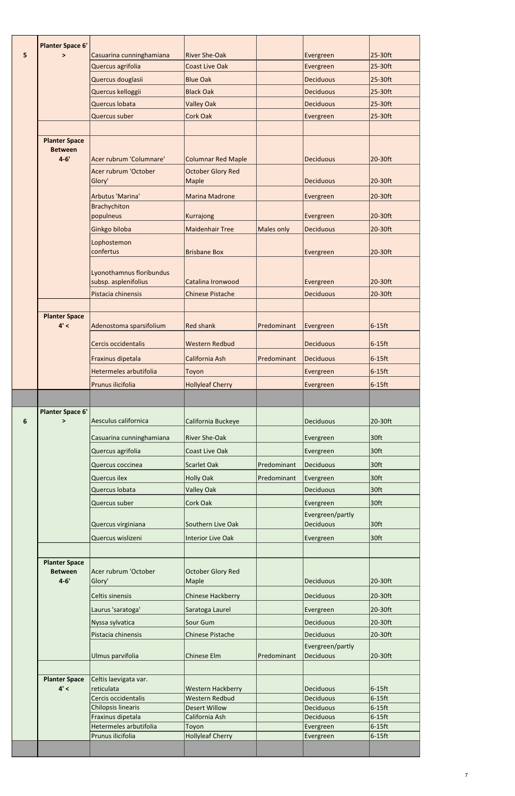|   | <b>Planter Space 6'</b>           |                                             |                                          |             |                               |                        |
|---|-----------------------------------|---------------------------------------------|------------------------------------------|-------------|-------------------------------|------------------------|
| 5 | $\geq$                            | Casuarina cunninghamiana                    | <b>River She-Oak</b>                     |             | Evergreen                     | 25-30ft                |
|   |                                   | Quercus agrifolia                           | <b>Coast Live Oak</b>                    |             | Evergreen                     | 25-30ft                |
|   |                                   | Quercus douglasii                           | <b>Blue Oak</b>                          |             | <b>Deciduous</b>              | 25-30ft                |
|   |                                   | Quercus kelloggii                           | <b>Black Oak</b>                         |             | <b>Deciduous</b>              | 25-30ft                |
|   |                                   | Quercus Iobata                              | <b>Valley Oak</b>                        |             | <b>Deciduous</b>              | 25-30ft                |
|   |                                   | <b>Quercus suber</b>                        | <b>Cork Oak</b>                          |             | Evergreen                     | 25-30ft                |
|   |                                   |                                             |                                          |             |                               |                        |
|   | <b>Planter Space</b>              |                                             |                                          |             |                               |                        |
|   | <b>Between</b>                    |                                             |                                          |             |                               |                        |
|   | $4 - 6'$                          | Acer rubrum 'Columnare'                     | <b>Columnar Red Maple</b>                |             | <b>Deciduous</b>              | 20-30ft                |
|   |                                   | Acer rubrum 'October<br>Glory'              | <b>October Glory Red</b><br><b>Maple</b> |             | <b>Deciduous</b>              | 20-30ft                |
|   |                                   | <b>Arbutus 'Marina'</b>                     | <b>Marina Madrone</b>                    |             | Evergreen                     | 20-30ft                |
|   |                                   | Brachychiton                                |                                          |             |                               |                        |
|   |                                   | populneus                                   | Kurrajong                                |             | Evergreen                     | 20-30ft                |
|   |                                   | Ginkgo biloba                               | <b>Maidenhair Tree</b>                   | Males only  | <b>Deciduous</b>              | 20-30ft                |
|   |                                   | Lophostemon                                 |                                          |             |                               |                        |
|   |                                   | confertus                                   | <b>Brisbane Box</b>                      |             | Evergreen                     | 20-30ft                |
|   |                                   |                                             |                                          |             |                               |                        |
|   |                                   | Lyonothamnus floribundus                    |                                          |             |                               |                        |
|   |                                   | subsp. asplenifolius                        | Catalina Ironwood                        |             | Evergreen                     | 20-30ft                |
|   |                                   | Pistacia chinensis                          | <b>Chinese Pistache</b>                  |             | <b>Deciduous</b>              | 20-30ft                |
|   | <b>Planter Space</b>              |                                             |                                          |             |                               |                        |
|   | 4' <                              | Adenostoma sparsifolium                     | <b>Red shank</b>                         | Predominant | Evergreen                     | $6-15$ ft              |
|   |                                   | Cercis occidentalis                         | <b>Western Redbud</b>                    |             | <b>Deciduous</b>              | $6-15$ ft              |
|   |                                   | Fraxinus dipetala                           | California Ash                           | Predominant | <b>Deciduous</b>              | $6-15$ ft              |
|   |                                   | Hetermeles arbutifolia                      | Toyon                                    |             | Evergreen                     | $6-15$ ft              |
|   |                                   | Prunus ilicifolia                           | <b>Hollyleaf Cherry</b>                  |             | Evergreen                     | $6-15$ ft              |
|   |                                   |                                             |                                          |             |                               |                        |
|   |                                   |                                             |                                          |             |                               |                        |
|   |                                   |                                             |                                          |             |                               |                        |
| 6 | <b>Planter Space 6'</b><br>$\geq$ | Aesculus californica                        | California Buckeye                       |             | <b>Deciduous</b>              | 20-30ft                |
|   |                                   | Casuarina cunninghamiana                    | <b>River She-Oak</b>                     |             | Evergreen                     | 30ft                   |
|   |                                   | Quercus agrifolia                           | <b>Coast Live Oak</b>                    |             | Evergreen                     | 30ft                   |
|   |                                   | Quercus coccinea                            | <b>Scarlet Oak</b>                       | Predominant | Deciduous                     | 30ft                   |
|   |                                   | Quercus ilex                                | <b>Holly Oak</b>                         | Predominant | Evergreen                     | 30ft                   |
|   |                                   | Quercus Iobata                              | <b>Valley Oak</b>                        |             | <b>Deciduous</b>              | 30ft                   |
|   |                                   | Quercus suber                               | <b>Cork Oak</b>                          |             |                               | 30ft                   |
|   |                                   |                                             |                                          |             | Evergreen<br>Evergreen/partly |                        |
|   |                                   | Quercus virginiana                          | Southern Live Oak                        |             | <b>Deciduous</b>              | 30ft                   |
|   |                                   | Quercus wislizeni                           | <b>Interior Live Oak</b>                 |             | Evergreen                     | 30ft                   |
|   |                                   |                                             |                                          |             |                               |                        |
|   | <b>Planter Space</b>              |                                             |                                          |             |                               |                        |
|   | <b>Between</b>                    | Acer rubrum 'October                        | <b>October Glory Red</b>                 |             |                               |                        |
|   | $4 - 6'$                          | Glory'                                      | Maple                                    |             | <b>Deciduous</b>              | 20-30ft                |
|   |                                   | <b>Celtis sinensis</b>                      | <b>Chinese Hackberry</b>                 |             | <b>Deciduous</b>              | 20-30ft                |
|   |                                   | Laurus 'saratoga'                           | Saratoga Laurel                          |             | Evergreen                     | 20-30ft                |
|   |                                   | Nyssa sylvatica                             | Sour Gum                                 |             | <b>Deciduous</b>              | 20-30ft                |
|   |                                   | Pistacia chinensis                          | <b>Chinese Pistache</b>                  |             | <b>Deciduous</b>              | 20-30ft                |
|   |                                   |                                             |                                          |             | Evergreen/partly              |                        |
|   |                                   | Ulmus parvifolia                            | <b>Chinese Elm</b>                       | Predominant | <b>Deciduous</b>              | 20-30ft                |
|   |                                   |                                             |                                          |             |                               |                        |
|   | <b>Planter Space</b><br>4' <      | Celtis laevigata var.<br>reticulata         | <b>Western Hackberry</b>                 |             | <b>Deciduous</b>              | $6-15$ ft              |
|   |                                   | Cercis occidentalis                         | <b>Western Redbud</b>                    |             | <b>Deciduous</b>              | $6-15$ ft              |
|   |                                   | <b>Chilopsis linearis</b>                   | <b>Desert Willow</b>                     |             | <b>Deciduous</b>              | $6-15$ ft              |
|   |                                   | Fraxinus dipetala                           | California Ash                           |             | <b>Deciduous</b>              | $6-15$ ft              |
|   |                                   | Hetermeles arbutifolia<br>Prunus ilicifolia | Toyon<br><b>Hollyleaf Cherry</b>         |             | Evergreen<br>Evergreen        | $6-15$ ft<br>$6-15$ ft |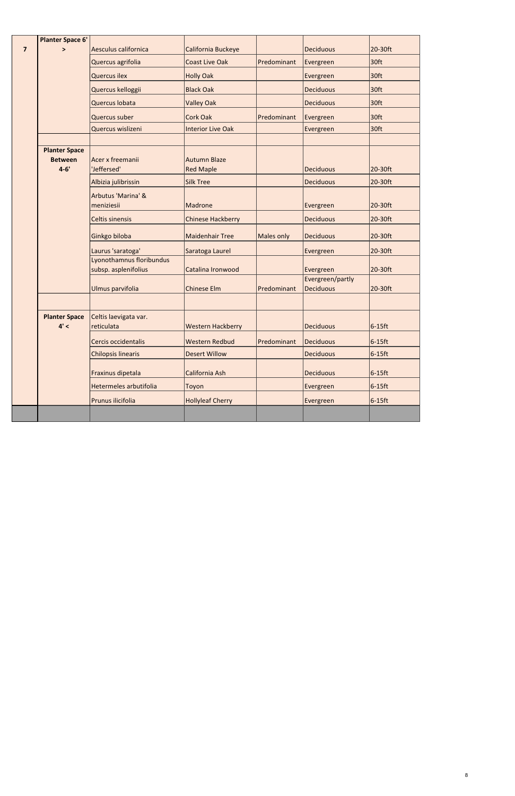|                         | <b>Planter Space 6'</b>                |                                                  |                          |             |                                      |                  |
|-------------------------|----------------------------------------|--------------------------------------------------|--------------------------|-------------|--------------------------------------|------------------|
| $\overline{\mathbf{z}}$ | $\geq$                                 | Aesculus californica                             | California Buckeye       |             | <b>Deciduous</b>                     | 20-30ft          |
|                         |                                        | Quercus agrifolia                                | <b>Coast Live Oak</b>    | Predominant | Evergreen                            | 30ft             |
|                         |                                        | <b>Quercus ilex</b>                              | <b>Holly Oak</b>         |             | Evergreen                            | 30ft             |
|                         |                                        | Quercus kelloggii                                | <b>Black Oak</b>         |             | <b>Deciduous</b>                     | 30ft             |
|                         |                                        | Quercus Iobata                                   | <b>Valley Oak</b>        |             | <b>Deciduous</b>                     | 30 <sup>ft</sup> |
|                         |                                        | Quercus suber                                    | <b>Cork Oak</b>          | Predominant | Evergreen                            | 30ft             |
|                         |                                        | Quercus wislizeni                                | <b>Interior Live Oak</b> |             | Evergreen                            | 30ft             |
|                         |                                        |                                                  |                          |             |                                      |                  |
|                         | <b>Planter Space</b><br><b>Between</b> | Acer x freemanii                                 | <b>Autumn Blaze</b>      |             |                                      |                  |
|                         | $4 - 6'$                               | 'Jeffersed'                                      | <b>Red Maple</b>         |             | <b>Deciduous</b>                     | 20-30ft          |
|                         |                                        | Albizia julibrissin                              | <b>Silk Tree</b>         |             | <b>Deciduous</b>                     | 20-30ft          |
|                         |                                        | Arbutus 'Marina' &                               |                          |             |                                      |                  |
|                         |                                        | meniziesii                                       | Madrone                  |             | Evergreen                            | 20-30ft          |
|                         |                                        | <b>Celtis sinensis</b>                           | <b>Chinese Hackberry</b> |             | <b>Deciduous</b>                     | 20-30ft          |
|                         |                                        | Ginkgo biloba                                    | <b>Maidenhair Tree</b>   | Males only  | <b>Deciduous</b>                     | 20-30ft          |
|                         |                                        | Laurus 'saratoga'                                | Saratoga Laurel          |             | Evergreen                            | 20-30ft          |
|                         |                                        | Lyonothamnus floribundus<br>subsp. asplenifolius | Catalina Ironwood        |             | Evergreen                            | 20-30ft          |
|                         |                                        | Ulmus parvifolia                                 | <b>Chinese Elm</b>       | Predominant | Evergreen/partly<br><b>Deciduous</b> | 20-30ft          |
|                         |                                        |                                                  |                          |             |                                      |                  |
|                         | <b>Planter Space</b><br>4' <           | Celtis laevigata var.<br>reticulata              | <b>Western Hackberry</b> |             | <b>Deciduous</b>                     | $6-15$ ft        |
|                         |                                        | Cercis occidentalis                              | <b>Western Redbud</b>    | Predominant | <b>Deciduous</b>                     | $6-15$ ft        |
|                         |                                        | <b>Chilopsis linearis</b>                        | <b>Desert Willow</b>     |             | <b>Deciduous</b>                     | $6-15$ ft        |
|                         |                                        | Fraxinus dipetala                                | California Ash           |             | <b>Deciduous</b>                     | $6-15$ ft        |
|                         |                                        | Hetermeles arbutifolia                           | Toyon                    |             | Evergreen                            | $6-15$ ft        |
|                         |                                        | Prunus ilicifolia                                | <b>Hollyleaf Cherry</b>  |             | Evergreen                            | $6-15$ ft        |
|                         |                                        |                                                  |                          |             |                                      |                  |

8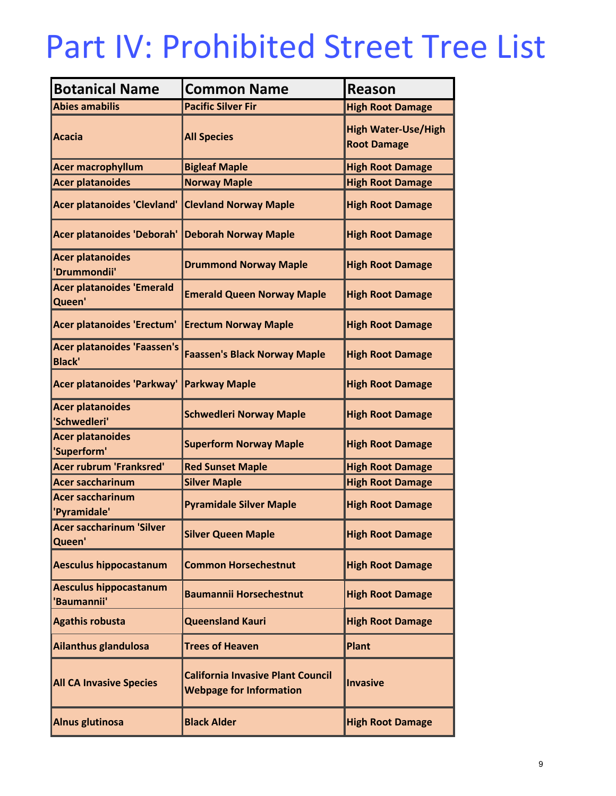### Part IV: Prohibited Street Tree List

| <b>Botanical Name</b>                        | <b>Common Name</b>                                                         | <b>Reason</b>                                    |  |
|----------------------------------------------|----------------------------------------------------------------------------|--------------------------------------------------|--|
| <b>Abies amabilis</b>                        | <b>Pacific Silver Fir</b>                                                  | <b>High Root Damage</b>                          |  |
| Acacia                                       | <b>All Species</b>                                                         | <b>High Water-Use/High</b><br><b>Root Damage</b> |  |
| <b>Acer macrophyllum</b>                     | <b>Bigleaf Maple</b>                                                       | <b>High Root Damage</b>                          |  |
| <b>Acer platanoides</b>                      | <b>Norway Maple</b>                                                        | <b>High Root Damage</b>                          |  |
| <b>Acer platanoides 'Clevland'</b>           | <b>Clevland Norway Maple</b>                                               | <b>High Root Damage</b>                          |  |
| Acer platanoides 'Deborah'                   | <b>Deborah Norway Maple</b>                                                | <b>High Root Damage</b>                          |  |
| <b>Acer platanoides</b><br>'Drummondii'      | <b>Drummond Norway Maple</b>                                               | <b>High Root Damage</b>                          |  |
| <b>Acer platanoides 'Emerald</b><br>Queen'   | <b>Emerald Queen Norway Maple</b>                                          | <b>High Root Damage</b>                          |  |
| Acer platanoides 'Erectum'                   | <b>Erectum Norway Maple</b>                                                | <b>High Root Damage</b>                          |  |
| Acer platanoides 'Faassen's<br><b>Black'</b> | <b>Faassen's Black Norway Maple</b>                                        | <b>High Root Damage</b>                          |  |
| Acer platanoides 'Parkway'                   | <b>Parkway Maple</b>                                                       | <b>High Root Damage</b>                          |  |
| <b>Acer platanoides</b><br>'Schwedleri'      | <b>Schwedleri Norway Maple</b>                                             | <b>High Root Damage</b>                          |  |
| <b>Acer platanoides</b><br>'Superform'       | <b>Superform Norway Maple</b>                                              | <b>High Root Damage</b>                          |  |
| <b>Acer rubrum 'Franksred'</b>               | <b>Red Sunset Maple</b>                                                    | <b>High Root Damage</b>                          |  |
| <b>Acer saccharinum</b>                      | <b>Silver Maple</b>                                                        | <b>High Root Damage</b>                          |  |
| <b>Acer saccharinum</b><br>'Pyramidale'      | <b>Pyramidale Silver Maple</b>                                             | <b>High Root Damage</b>                          |  |
| Acer saccharinum 'Silver<br>Queen'           | <b>Silver Queen Maple</b>                                                  | <b>High Root Damage</b>                          |  |
| <b>Aesculus hippocastanum</b>                | <b>Common Horsechestnut</b>                                                | <b>High Root Damage</b>                          |  |
| <b>Aesculus hippocastanum</b><br>'Baumannii' | <b>Baumannii Horsechestnut</b>                                             | <b>High Root Damage</b>                          |  |
| <b>Agathis robusta</b>                       | <b>Queensland Kauri</b>                                                    | <b>High Root Damage</b>                          |  |
| Ailanthus glandulosa                         | <b>Trees of Heaven</b>                                                     | Plant                                            |  |
| <b>All CA Invasive Species</b>               | <b>California Invasive Plant Council</b><br><b>Webpage for Information</b> | <b>Invasive</b>                                  |  |
| Alnus glutinosa                              | <b>Black Alder</b>                                                         | <b>High Root Damage</b>                          |  |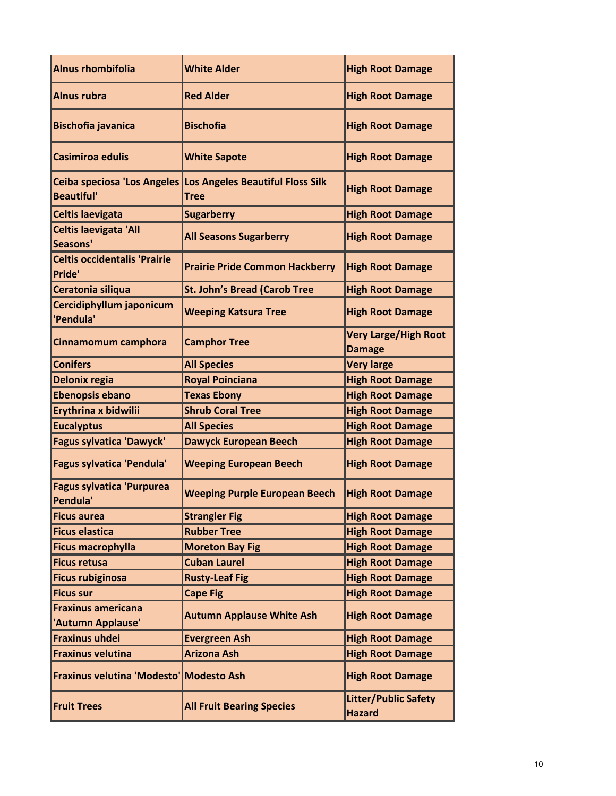| Alnus rhombifolia                                | <b>White Alder</b>                              | <b>High Root Damage</b>                      |
|--------------------------------------------------|-------------------------------------------------|----------------------------------------------|
| Alnus rubra                                      | <b>Red Alder</b>                                | <b>High Root Damage</b>                      |
| <b>Bischofia javanica</b>                        | <b>Bischofia</b>                                | <b>High Root Damage</b>                      |
| Casimiroa edulis                                 | <b>White Sapote</b>                             | <b>High Root Damage</b>                      |
| Ceiba speciosa 'Los Angeles<br><b>Beautiful'</b> | Los Angeles Beautiful Floss Silk<br><b>Tree</b> | <b>High Root Damage</b>                      |
| <b>Celtis laevigata</b>                          | <b>Sugarberry</b>                               | <b>High Root Damage</b>                      |
| <b>Celtis laevigata 'All</b><br>Seasons'         | <b>All Seasons Sugarberry</b>                   | <b>High Root Damage</b>                      |
| <b>Celtis occidentalis 'Prairie</b><br>Pride'    | <b>Prairie Pride Common Hackberry</b>           | <b>High Root Damage</b>                      |
| Ceratonia siliqua                                | <b>St. John's Bread (Carob Tree</b>             | <b>High Root Damage</b>                      |
| Cercidiphyllum japonicum<br>'Pendula'            | <b>Weeping Katsura Tree</b>                     | <b>High Root Damage</b>                      |
| Cinnamomum camphora                              | <b>Camphor Tree</b>                             | <b>Very Large/High Root</b><br><b>Damage</b> |
| <b>Conifers</b>                                  | <b>All Species</b>                              | <b>Very large</b>                            |
| <b>Delonix regia</b>                             | <b>Royal Poinciana</b>                          | <b>High Root Damage</b>                      |
| <b>Ebenopsis ebano</b>                           | <b>Texas Ebony</b>                              | <b>High Root Damage</b>                      |
| Erythrina x bidwilii                             | <b>Shrub Coral Tree</b>                         | <b>High Root Damage</b>                      |
| <b>Eucalyptus</b>                                | <b>All Species</b>                              | <b>High Root Damage</b>                      |
| <b>Fagus sylvatica 'Dawyck'</b>                  | <b>Dawyck European Beech</b>                    | <b>High Root Damage</b>                      |
| Fagus sylvatica 'Pendula'                        | <b>Weeping European Beech</b>                   | <b>High Root Damage</b>                      |
| <b>Fagus sylvatica 'Purpurea</b><br>Pendula'     | <b>Weeping Purple European Beech</b>            | <b>High Root Damage</b>                      |
| <b>Ficus aurea</b>                               | <b>Strangler Fig</b>                            | <b>High Root Damage</b>                      |
| <b>Ficus elastica</b>                            | <b>Rubber Tree</b>                              | <b>High Root Damage</b>                      |
| <b>Ficus macrophylla</b>                         | <b>Moreton Bay Fig</b>                          | <b>High Root Damage</b>                      |
| <b>Ficus retusa</b>                              | <b>Cuban Laurel</b>                             | <b>High Root Damage</b>                      |
| <b>Ficus rubiginosa</b>                          | <b>Rusty-Leaf Fig</b>                           | <b>High Root Damage</b>                      |
| <b>Ficus sur</b>                                 | <b>Cape Fig</b>                                 | <b>High Root Damage</b>                      |
| <b>Fraxinus americana</b><br>'Autumn Applause'   | <b>Autumn Applause White Ash</b>                | <b>High Root Damage</b>                      |
| <b>Fraxinus uhdei</b>                            | <b>Evergreen Ash</b>                            | <b>High Root Damage</b>                      |
| <b>Fraxinus velutina</b>                         | <b>Arizona Ash</b>                              | <b>High Root Damage</b>                      |
| Fraxinus velutina 'Modesto' Modesto Ash          |                                                 | <b>High Root Damage</b>                      |
| <b>Fruit Trees</b>                               | <b>All Fruit Bearing Species</b>                | <b>Litter/Public Safety</b><br><b>Hazard</b> |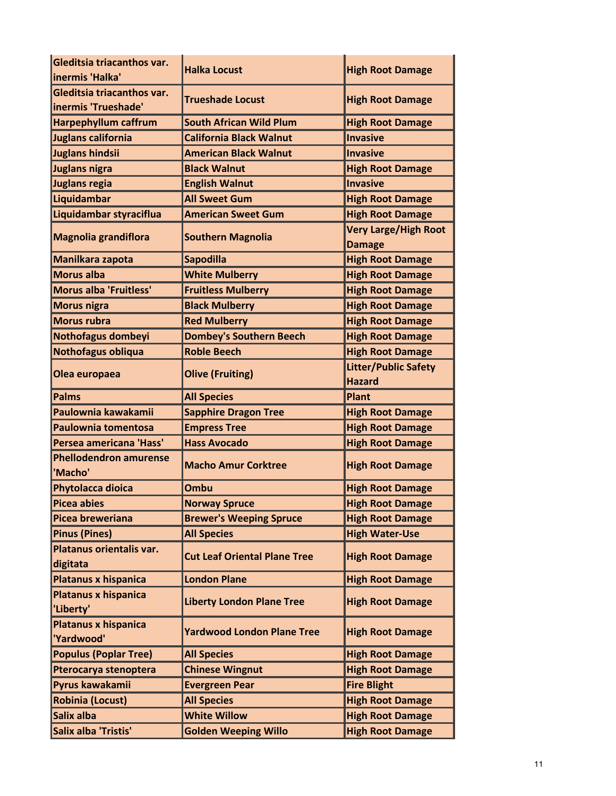| Gleditsia triacanthos var.                | <b>Halka Locust</b>                 | <b>High Root Damage</b>                      |
|-------------------------------------------|-------------------------------------|----------------------------------------------|
| inermis 'Halka'                           |                                     |                                              |
| Gleditsia triacanthos var.                | <b>Trueshade Locust</b>             | <b>High Root Damage</b>                      |
| inermis 'Trueshade'                       |                                     |                                              |
| <b>Harpephyllum caffrum</b>               | <b>South African Wild Plum</b>      | <b>High Root Damage</b>                      |
| Juglans california                        | <b>California Black Walnut</b>      | <b>Invasive</b>                              |
| Juglans hindsii                           | <b>American Black Walnut</b>        | Invasive                                     |
| Juglans nigra                             | <b>Black Walnut</b>                 | <b>High Root Damage</b>                      |
| Juglans regia                             | <b>English Walnut</b>               | Invasive                                     |
| Liquidambar                               | <b>All Sweet Gum</b>                | <b>High Root Damage</b>                      |
| Liquidambar styraciflua                   | <b>American Sweet Gum</b>           | <b>High Root Damage</b>                      |
| <b>Magnolia grandiflora</b>               | <b>Southern Magnolia</b>            | <b>Very Large/High Root</b><br><b>Damage</b> |
| Manilkara zapota                          | <b>Sapodilla</b>                    | <b>High Root Damage</b>                      |
| Morus alba                                | <b>White Mulberry</b>               | <b>High Root Damage</b>                      |
| Morus alba 'Fruitless'                    | <b>Fruitless Mulberry</b>           | <b>High Root Damage</b>                      |
| <b>Morus nigra</b>                        | <b>Black Mulberry</b>               | <b>High Root Damage</b>                      |
| Morus rubra                               | <b>Red Mulberry</b>                 | <b>High Root Damage</b>                      |
| Nothofagus dombeyi                        | <b>Dombey's Southern Beech</b>      | <b>High Root Damage</b>                      |
| Nothofagus obliqua                        | <b>Roble Beech</b>                  | <b>High Root Damage</b>                      |
| Olea europaea                             | <b>Olive (Fruiting)</b>             | <b>Litter/Public Safety</b><br><b>Hazard</b> |
| Palms                                     | <b>All Species</b>                  | <b>Plant</b>                                 |
| Paulownia kawakamii                       | <b>Sapphire Dragon Tree</b>         | <b>High Root Damage</b>                      |
| Paulownia tomentosa                       | <b>Empress Tree</b>                 | <b>High Root Damage</b>                      |
| Persea americana 'Hass'                   | <b>Hass Avocado</b>                 | <b>High Root Damage</b>                      |
| <b>Phellodendron amurense</b><br>'Macho'  | <b>Macho Amur Corktree</b>          | <b>High Root Damage</b>                      |
| <b>Phytolacca dioica</b>                  | Ombu                                | <b>High Root Damage</b>                      |
| Picea abies                               | <b>Norway Spruce</b>                | <b>High Root Damage</b>                      |
| Picea breweriana                          | <b>Brewer's Weeping Spruce</b>      | <b>High Root Damage</b>                      |
| <b>Pinus (Pines)</b>                      | <b>All Species</b>                  | <b>High Water-Use</b>                        |
| Platanus orientalis var.<br>digitata      | <b>Cut Leaf Oriental Plane Tree</b> | <b>High Root Damage</b>                      |
| Platanus x hispanica                      | <b>London Plane</b>                 | <b>High Root Damage</b>                      |
| <b>Platanus x hispanica</b><br>'Liberty'  | <b>Liberty London Plane Tree</b>    | <b>High Root Damage</b>                      |
| <b>Platanus x hispanica</b><br>'Yardwood' | <b>Yardwood London Plane Tree</b>   | <b>High Root Damage</b>                      |
| <b>Populus (Poplar Tree)</b>              | <b>All Species</b>                  | <b>High Root Damage</b>                      |
| Pterocarya stenoptera                     | <b>Chinese Wingnut</b>              | <b>High Root Damage</b>                      |
| Pyrus kawakamii                           | <b>Evergreen Pear</b>               | <b>Fire Blight</b>                           |
| <b>Robinia (Locust)</b>                   | <b>All Species</b>                  | <b>High Root Damage</b>                      |
| Salix alba                                | <b>White Willow</b>                 | <b>High Root Damage</b>                      |
| Salix alba 'Tristis'                      | <b>Golden Weeping Willo</b>         | <b>High Root Damage</b>                      |